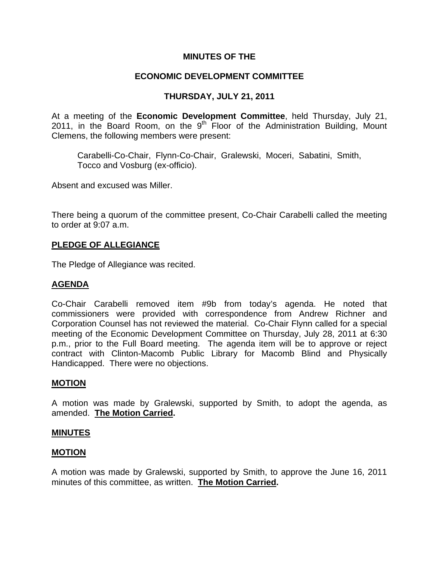# **MINUTES OF THE**

## **ECONOMIC DEVELOPMENT COMMITTEE**

# **THURSDAY, JULY 21, 2011**

At a meeting of the **Economic Development Committee**, held Thursday, July 21, 2011, in the Board Room, on the  $9<sup>th</sup>$  Floor of the Administration Building, Mount Clemens, the following members were present:

Carabelli-Co-Chair, Flynn-Co-Chair, Gralewski, Moceri, Sabatini, Smith, Tocco and Vosburg (ex-officio).

Absent and excused was Miller.

There being a quorum of the committee present, Co-Chair Carabelli called the meeting to order at 9:07 a.m.

### **PLEDGE OF ALLEGIANCE**

The Pledge of Allegiance was recited.

### **AGENDA**

Co-Chair Carabelli removed item #9b from today's agenda. He noted that commissioners were provided with correspondence from Andrew Richner and Corporation Counsel has not reviewed the material. Co-Chair Flynn called for a special meeting of the Economic Development Committee on Thursday, July 28, 2011 at 6:30 p.m., prior to the Full Board meeting. The agenda item will be to approve or reject contract with Clinton-Macomb Public Library for Macomb Blind and Physically Handicapped. There were no objections.

### **MOTION**

A motion was made by Gralewski, supported by Smith, to adopt the agenda, as amended. **The Motion Carried.** 

#### **MINUTES**

#### **MOTION**

A motion was made by Gralewski, supported by Smith, to approve the June 16, 2011 minutes of this committee, as written. **The Motion Carried.**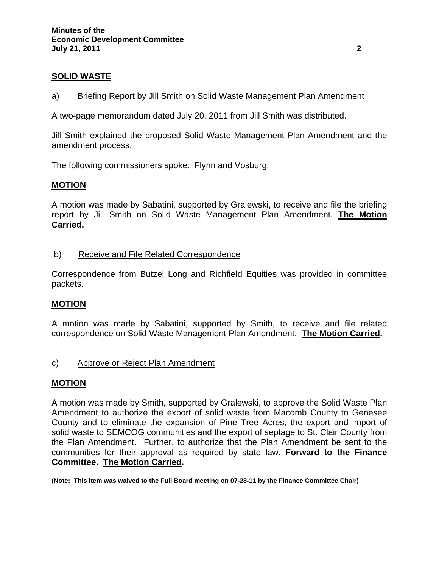# **SOLID WASTE**

### a) Briefing Report by Jill Smith on Solid Waste Management Plan Amendment

A two-page memorandum dated July 20, 2011 from Jill Smith was distributed.

Jill Smith explained the proposed Solid Waste Management Plan Amendment and the amendment process.

The following commissioners spoke: Flynn and Vosburg.

### **MOTION**

A motion was made by Sabatini, supported by Gralewski, to receive and file the briefing report by Jill Smith on Solid Waste Management Plan Amendment. **The Motion Carried.** 

b) Receive and File Related Correspondence

Correspondence from Butzel Long and Richfield Equities was provided in committee packets.

# **MOTION**

A motion was made by Sabatini, supported by Smith, to receive and file related correspondence on Solid Waste Management Plan Amendment. **The Motion Carried.** 

# c) Approve or Reject Plan Amendment

# **MOTION**

A motion was made by Smith, supported by Gralewski, to approve the Solid Waste Plan Amendment to authorize the export of solid waste from Macomb County to Genesee County and to eliminate the expansion of Pine Tree Acres, the export and import of solid waste to SEMCOG communities and the export of septage to St. Clair County from the Plan Amendment. Further, to authorize that the Plan Amendment be sent to the communities for their approval as required by state law. **Forward to the Finance Committee. The Motion Carried.** 

**(Note: This item was waived to the Full Board meeting on 07-28-11 by the Finance Committee Chair)**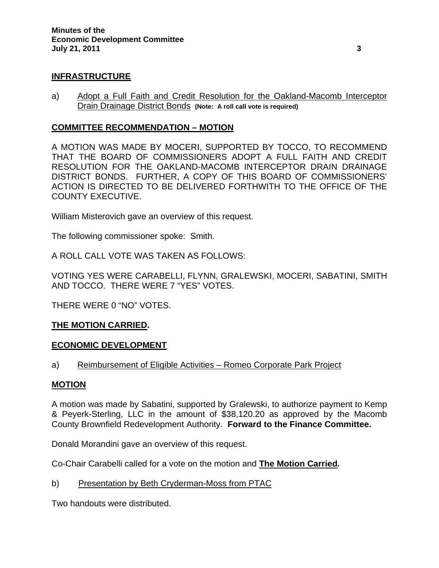# **INFRASTRUCTURE**

a) Adopt a Full Faith and Credit Resolution for the Oakland-Macomb Interceptor Drain Drainage District Bonds **(Note: A roll call vote is required)** 

### **COMMITTEE RECOMMENDATION – MOTION**

A MOTION WAS MADE BY MOCERI, SUPPORTED BY TOCCO, TO RECOMMEND THAT THE BOARD OF COMMISSIONERS ADOPT A FULL FAITH AND CREDIT RESOLUTION FOR THE OAKLAND-MACOMB INTERCEPTOR DRAIN DRAINAGE DISTRICT BONDS. FURTHER, A COPY OF THIS BOARD OF COMMISSIONERS' ACTION IS DIRECTED TO BE DELIVERED FORTHWITH TO THE OFFICE OF THE COUNTY EXECUTIVE.

William Misterovich gave an overview of this request.

The following commissioner spoke: Smith.

A ROLL CALL VOTE WAS TAKEN AS FOLLOWS:

VOTING YES WERE CARABELLI, FLYNN, GRALEWSKI, MOCERI, SABATINI, SMITH AND TOCCO. THERE WERE 7 "YES" VOTES.

THERE WERE 0 "NO" VOTES.

# **THE MOTION CARRIED.**

### **ECONOMIC DEVELOPMENT**

a) Reimbursement of Eligible Activities – Romeo Corporate Park Project

### **MOTION**

A motion was made by Sabatini, supported by Gralewski, to authorize payment to Kemp & Peyerk-Sterling, LLC in the amount of \$38,120.20 as approved by the Macomb County Brownfield Redevelopment Authority. **Forward to the Finance Committee.** 

Donald Morandini gave an overview of this request.

Co-Chair Carabelli called for a vote on the motion and **The Motion Carried.** 

b) Presentation by Beth Cryderman-Moss from PTAC

Two handouts were distributed.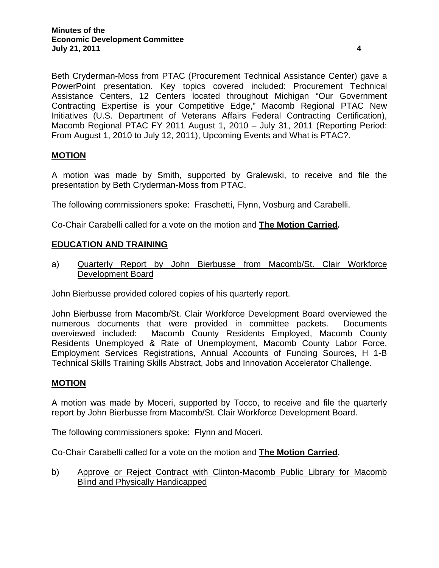Beth Cryderman-Moss from PTAC (Procurement Technical Assistance Center) gave a PowerPoint presentation. Key topics covered included: Procurement Technical Assistance Centers, 12 Centers located throughout Michigan "Our Government Contracting Expertise is your Competitive Edge," Macomb Regional PTAC New Initiatives (U.S. Department of Veterans Affairs Federal Contracting Certification), Macomb Regional PTAC FY 2011 August 1, 2010 – July 31, 2011 (Reporting Period: From August 1, 2010 to July 12, 2011), Upcoming Events and What is PTAC?.

# **MOTION**

A motion was made by Smith, supported by Gralewski, to receive and file the presentation by Beth Cryderman-Moss from PTAC.

The following commissioners spoke: Fraschetti, Flynn, Vosburg and Carabelli.

Co-Chair Carabelli called for a vote on the motion and **The Motion Carried.** 

### **EDUCATION AND TRAINING**

a) Quarterly Report by John Bierbusse from Macomb/St. Clair Workforce Development Board

John Bierbusse provided colored copies of his quarterly report.

John Bierbusse from Macomb/St. Clair Workforce Development Board overviewed the numerous documents that were provided in committee packets. Documents overviewed included: Macomb County Residents Employed, Macomb County Residents Unemployed & Rate of Unemployment, Macomb County Labor Force, Employment Services Registrations, Annual Accounts of Funding Sources, H 1-B Technical Skills Training Skills Abstract, Jobs and Innovation Accelerator Challenge.

### **MOTION**

A motion was made by Moceri, supported by Tocco, to receive and file the quarterly report by John Bierbusse from Macomb/St. Clair Workforce Development Board.

The following commissioners spoke: Flynn and Moceri.

Co-Chair Carabelli called for a vote on the motion and **The Motion Carried.** 

b) Approve or Reject Contract with Clinton-Macomb Public Library for Macomb Blind and Physically Handicapped